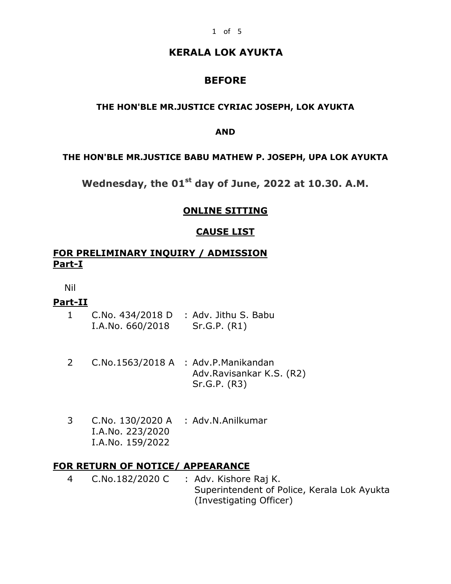# **KERALA LOK AYUKTA**

# **BEFORE**

### **THE HON'BLE MR.JUSTICE CYRIAC JOSEPH, LOK AYUKTA**

#### **AND**

#### **THE HON'BLE MR.JUSTICE BABU MATHEW P. JOSEPH, UPA LOK AYUKTA**

**Wednesday, the 01st day of June, 2022 at 10.30. A.M.**

### **ONLINE SITTING**

# **CAUSE LIST**

### **FOR PRELIMINARY INQUIRY / ADMISSION Part-I**

Nil

# **Part-II**

- 1 C.No. 434/2018 D : Adv. Jithu S. Babu I.A.No. 660/2018 Sr.G.P. (R1)
- 2 C.No.1563/2018 A : Adv.P.Manikandan Adv.Ravisankar K.S. (R2) Sr.G.P. (R3)
- 3 C.No. 130/2020 A : Adv.N.Anilkumar I.A.No. 223/2020 I.A.No. 159/2022

# **FOR RETURN OF NOTICE/ APPEARANCE**

4 C.No.182/2020 C : Adv. Kishore Raj K. Superintendent of Police, Kerala Lok Ayukta (Investigating Officer)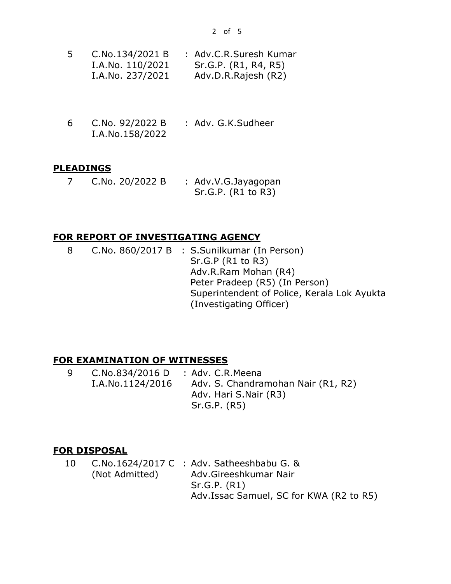| 5 | C.No.134/2021 B  | : Adv.C.R.Suresh Kumar |
|---|------------------|------------------------|
|   | I.A.No. 110/2021 | Sr.G.P. (R1, R4, R5)   |
|   | I.A.No. 237/2021 | Adv.D.R.Rajesh (R2)    |

6 C.No. 92/2022 B I.A.No.158/2022 : Adv. G.K.Sudheer

#### **PLEADINGS**

7 C.No. 20/2022 B : Adv.V.G.Jayagopan Sr.G.P. (R1 to R3)

#### **FOR REPORT OF INVESTIGATING AGENCY**

8 C.No. 860/2017 B : S.Sunilkumar (In Person) Sr.G.P (R1 to R3) Adv.R.Ram Mohan (R4) Peter Pradeep (R5) (In Person) Superintendent of Police, Kerala Lok Ayukta (Investigating Officer)

#### **FOR EXAMINATION OF WITNESSES**

9 C.No.834/2016 D I.A.No.1124/2016 : Adv. C.R.Meena Adv. S. Chandramohan Nair (R1, R2) Adv. Hari S.Nair (R3) Sr.G.P. (R5)

#### **FOR DISPOSAL**

10 C.No.1624/2017 C : Adv. Satheeshbabu G. & (Not Admitted) Adv.Gireeshkumar Nair Sr.G.P. (R1) Adv.Issac Samuel, SC for KWA (R2 to R5)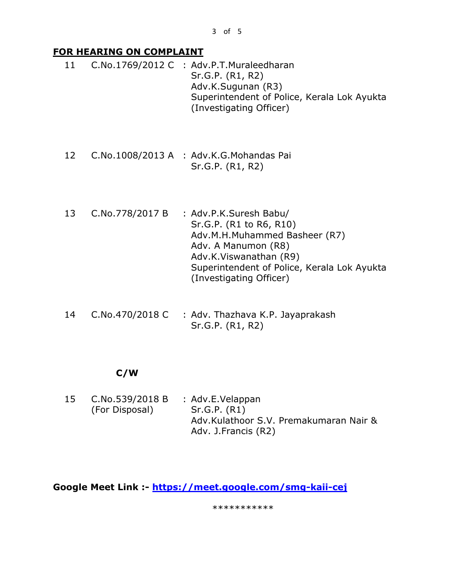### **FOR HEARING ON COMPLAINT**

- 11 C.No.1769/2012 C : Adv.P.T.Muraleedharan Sr.G.P. (R1, R2) Adv.K.Sugunan (R3) Superintendent of Police, Kerala Lok Ayukta (Investigating Officer)
- 12 C.No.1008/2013 A : Adv.K.G.Mohandas Pai Sr.G.P. (R1, R2)
- 13 C.No.778/2017 B : Adv.P.K.Suresh Babu/ Sr.G.P. (R1 to R6, R10) Adv.M.H.Muhammed Basheer (R7) Adv. A Manumon (R8) Adv.K.Viswanathan (R9) Superintendent of Police, Kerala Lok Ayukta (Investigating Officer)
- 14 C.No.470/2018 C : Adv. Thazhava K.P. Jayaprakash Sr.G.P. (R1, R2)

# **C/W**

15 C.No.539/2018 B (For Disposal) : Adv.E.Velappan Sr.G.P. (R1) Adv.Kulathoor S.V. Premakumaran Nair & Adv. J.Francis (R2)

**Google Meet Link :- <https://meet.google.com/smg-kaii-cej>**

\*\*\*\*\*\*\*\*\*\*\*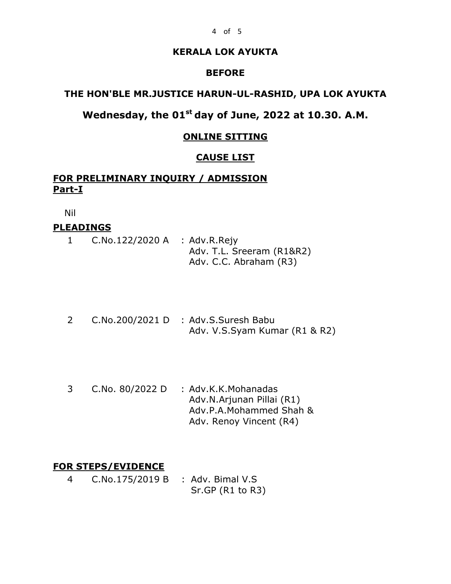#### 4 of 5

#### **KERALA LOK AYUKTA**

#### **BEFORE**

# **THE HON'BLE MR.JUSTICE HARUN-UL-RASHID, UPA LOK AYUKTA**

# **Wednesday, the 01st day of June, 2022 at 10.30. A.M.**

#### **ONLINE SITTING**

#### **CAUSE LIST**

# **FOR PRELIMINARY INQUIRY / ADMISSION Part-I**

Nil

#### **PLEADINGS**

|  | $C.No.122/2020 A$ : Adv.R.Rejy |                           |
|--|--------------------------------|---------------------------|
|  |                                | Adv. T.L. Sreeram (R1&R2) |
|  |                                | Adv. C.C. Abraham (R3)    |

- 2 C.No.200/2021 D : Adv.S.Suresh Babu Adv. V.S.Syam Kumar (R1 & R2)
- 3 C.No. 80/2022 D : Adv.K.K.Mohanadas Adv.N.Arjunan Pillai (R1) Adv.P.A.Mohammed Shah & Adv. Renoy Vincent (R4)

#### **FOR STEPS/EVIDENCE**

4 C.No.175/2019 B : Adv. Bimal V.S Sr.GP (R1 to R3)